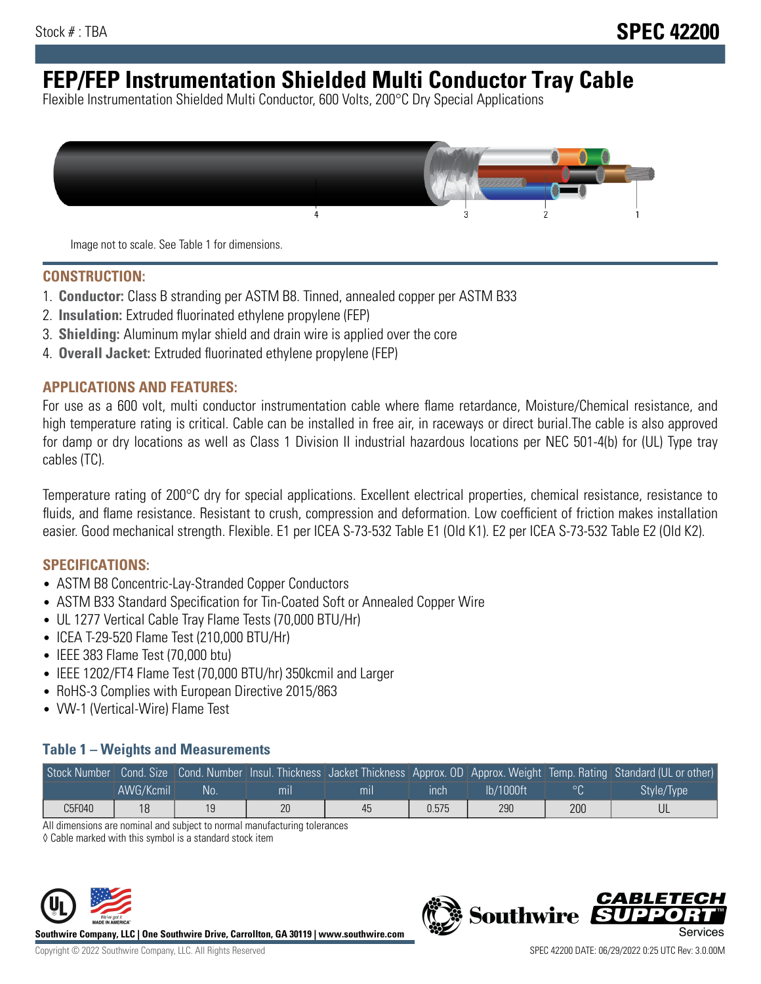# **FEP/FEP Instrumentation Shielded Multi Conductor Tray Cable**

Flexible Instrumentation Shielded Multi Conductor, 600 Volts, 200°C Dry Special Applications



Image not to scale. See Table 1 for dimensions.

#### **CONSTRUCTION:**

- 1. **Conductor:** Class B stranding per ASTM B8. Tinned, annealed copper per ASTM B33
- 2. **Insulation:** Extruded fluorinated ethylene propylene (FEP)
- 3. **Shielding:** Aluminum mylar shield and drain wire is applied over the core
- 4. **Overall Jacket:** Extruded fluorinated ethylene propylene (FEP)

#### **APPLICATIONS AND FEATURES:**

For use as a 600 volt, multi conductor instrumentation cable where flame retardance, Moisture/Chemical resistance, and high temperature rating is critical. Cable can be installed in free air, in raceways or direct burial.The cable is also approved for damp or dry locations as well as Class 1 Division II industrial hazardous locations per NEC 501-4(b) for (UL) Type tray cables (TC).

Temperature rating of 200°C dry for special applications. Excellent electrical properties, chemical resistance, resistance to fluids, and flame resistance. Resistant to crush, compression and deformation. Low coefficient of friction makes installation easier. Good mechanical strength. Flexible. E1 per ICEA S-73-532 Table E1 (Old K1). E2 per ICEA S-73-532 Table E2 (Old K2).

#### **SPECIFICATIONS:**

- ASTM B8 Concentric-Lay-Stranded Copper Conductors
- ASTM B33 Standard Specification for Tin-Coated Soft or Annealed Copper Wire
- UL 1277 Vertical Cable Tray Flame Tests (70,000 BTU/Hr)
- ICEA T-29-520 Flame Test (210,000 BTU/Hr)
- IEEE 383 Flame Test (70,000 btu)
- IEEE 1202/FT4 Flame Test (70,000 BTU/hr) 350kcmil and Larger
- RoHS-3 Complies with European Directive 2015/863
- VW-1 (Vertical-Wire) Flame Test

### **Table 1 – Weights and Measurements**

|        |           |     |     |     |       |           |     | Stock Number Cond. Size Cond. Number Insul. Thickness Jacket Thickness Approx. OD Approx. Weight Temp. Rating Standard (UL or other) |
|--------|-----------|-----|-----|-----|-------|-----------|-----|--------------------------------------------------------------------------------------------------------------------------------------|
|        | AWG/Kcmil | :No | mil | mıl | inch  | Ib/1000ft |     | Style/Type                                                                                                                           |
| C5F040 | 18        | 19  | 20  | 45  | 0.575 | 290       | 200 |                                                                                                                                      |

All dimensions are nominal and subject to normal manufacturing tolerances

◊ Cable marked with this symbol is a standard stock item



**Southwire Company, LLC | One Southwire Drive, Carrollton, GA 30119 | www.southwire.com**